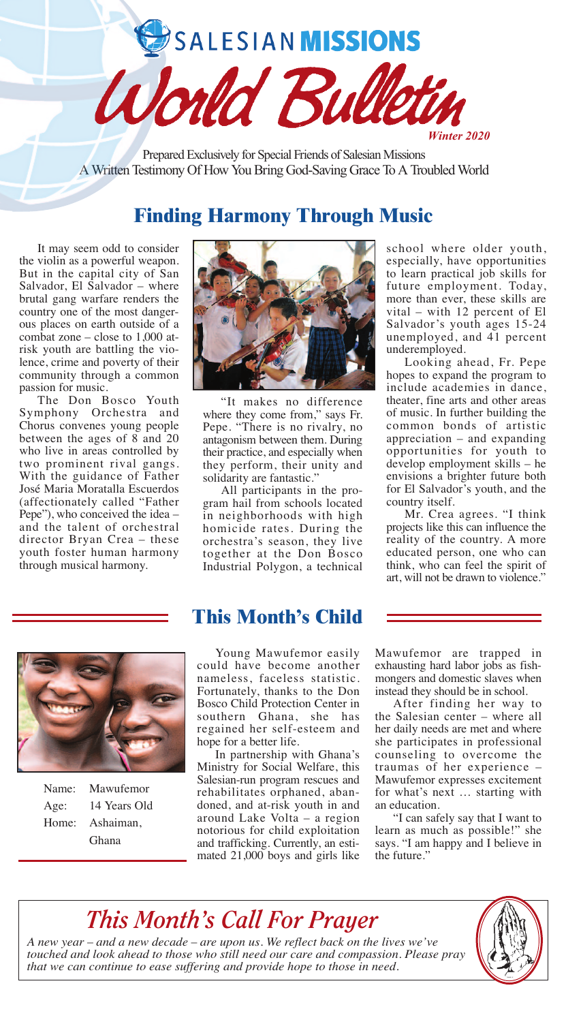# SALESIAN MISSIONS

Prepared Exclusively for Special Friends of Salesian Missions A Written Testimony Of How You Bring God-Saving Grace To A Troubled World

World Bul

# **Finding Harmony Through Music**

It may seem odd to consider the violin as a powerful weapon. But in the capital city of San Salvador, El Salvador – where brutal gang warfare renders the country one of the most dangerous places on earth outside of a combat zone – close to 1,000 atrisk youth are battling the violence, crime and poverty of their community through a common passion for music.

The Don Bosco Youth Symphony Orchestra and Chorus convenes young people between the ages of 8 and 20 who live in areas controlled by two prominent rival gangs. With the guidance of Father José Maria Moratalla Escuerdos (affectionately called "Father Pepe"), who conceived the idea – and the talent of orchestral director Bryan Crea – these youth foster human harmony through musical harmony.



"It makes no difference where they come from," says Fr. Pepe. "There is no rivalry, no antagonism between them. During their practice, and especially when they perform, their unity and solidarity are fantastic."

All participants in the program hail from schools located in neighborhoods with high homicide rates. During the orchestra's season, they live together at the Don Bosco Industrial Polygon, a technical school where older youth, especially, have opportunities to learn practical job skills for future employment. Today, more than ever, these skills are vital – with 12 percent of El Salvador's youth ages 15-24 unemployed, and 41 percent underemployed.

*Winter 2020*

Looking ahead, Fr. Pepe hopes to expand the program to include academies in dance, theater, fine arts and other areas of music. In further building the common bonds of artistic appreciation – and expanding opportunities for youth to develop employment skills – he envisions a brighter future both for El Salvador's youth, and the country itself.

Mr. Crea agrees. "I think projects like this can influence the reality of the country. A more educated person, one who can think, who can feel the spirit of art, will not be drawn to violence."



Name: Mawufemor Age: 14 Years Old Home: Ashaiman, Ghana

## **This Month's Child**

Young Mawufemor easily could have become another nameless, faceless statistic. Fortunately, thanks to the Don Bosco Child Protection Center in southern Ghana, she has regained her self-esteem and hope for a better life.

In partnership with Ghana's Ministry for Social Welfare, this Salesian-run program rescues and rehabilitates orphaned, abandoned, and at-risk youth in and around Lake Volta – a region notorious for child exploitation and trafficking. Currently, an estimated 21,000 boys and girls like

Mawufemor are trapped in exhausting hard labor jobs as fishmongers and domestic slaves when instead they should be in school.

After finding her way to the Salesian center – where all her daily needs are met and where she participates in professional counseling to overcome the traumas of her experience – Mawufemor expresses excitement for what's next … starting with an education.

"I can safely say that I want to learn as much as possible!" she says. "I am happy and I believe in the future."

# *This Month's Call For Prayer*

*A new year* – *and a new decade* – *are upon us. We reflect back on the lives we've touched and look ahead to those who still need our care and compassion. Please pray that we can continue to ease suffering and provide hope to those in need.*